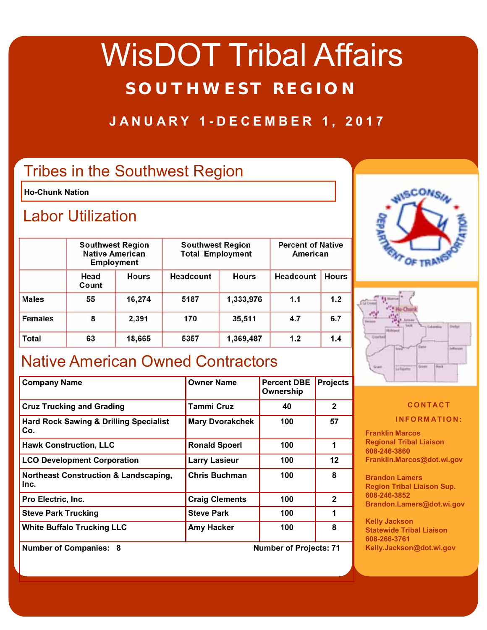# WisDOT Tribal Affairs **SOUTHWEST REGION**

#### **JANUARY 1-DECEMBER 1, 2017**

### Tribes in the Southwest Region

**Ho-Chunk Nation** 

#### Labor Utilization

|                | <b>Southwest Region</b><br><b>Native American</b><br><b>Employment</b> |              | <b>Southwest Region</b><br><b>Total Employment</b> |              | <b>Percent of Native</b><br>American |              |
|----------------|------------------------------------------------------------------------|--------------|----------------------------------------------------|--------------|--------------------------------------|--------------|
|                | Head<br>Count                                                          | <b>Hours</b> | Headcount                                          | <b>Hours</b> | <b>Headcount</b>                     | <b>Hours</b> |
| <b>Males</b>   | 55                                                                     | 16,274       | 5187                                               | 1,333,976    | 1.1                                  | 1.2          |
| <b>Females</b> | 8                                                                      | 2,391        | 170                                                | 35,511       | 4.7                                  | 6.7          |
| <b>Total</b>   | 63                                                                     | 18,665       | 5357                                               | 1,369,487    | 1.2                                  | 1.4          |

### Native American Owned Contractors

| <b>Company Name</b>                                      | <b>Owner Name</b>      | <b>Percent DBE</b><br>Ownership | <b>Projects</b> |
|----------------------------------------------------------|------------------------|---------------------------------|-----------------|
| <b>Cruz Trucking and Grading</b>                         | <b>Tammi Cruz</b>      | 40                              | $\mathbf{2}$    |
| <b>Hard Rock Sawing &amp; Drilling Specialist</b><br>Co. | <b>Mary Dvorakchek</b> | 100                             | 57              |
| <b>Hawk Construction, LLC</b>                            | <b>Ronald Spoerl</b>   | 100                             | 1               |
| <b>LCO Development Corporation</b>                       | <b>Larry Lasieur</b>   | 100                             | $12 \,$         |
| Northeast Construction & Landscaping,<br>lnc.            | <b>Chris Buchman</b>   | 100                             | 8               |
| Pro Electric, Inc.                                       | <b>Craig Clements</b>  | 100                             | $\mathbf{2}$    |
| <b>Steve Park Trucking</b>                               | <b>Steve Park</b>      | 100                             | 1               |
| <b>White Buffalo Trucking LLC</b>                        | <b>Amy Hacker</b>      | 100                             | 8               |



#### **Number of Companies: 8 Number of Projects: 71**





#### **CONTACT INFORMATION:**

**Franklin Marcos Regional Tribal Liaison 608-246-3860 Franklin.Marcos@dot.wi.gov** 

**Brandon Lamers Region Tribal Liaison Sup. 608-246-3852 Brandon.Lamers@dot.wi.gov** 

**Kelly Jackson Statewide Tribal Liaison 608-266-3761 Kelly.Jackson@dot.wi.gov**